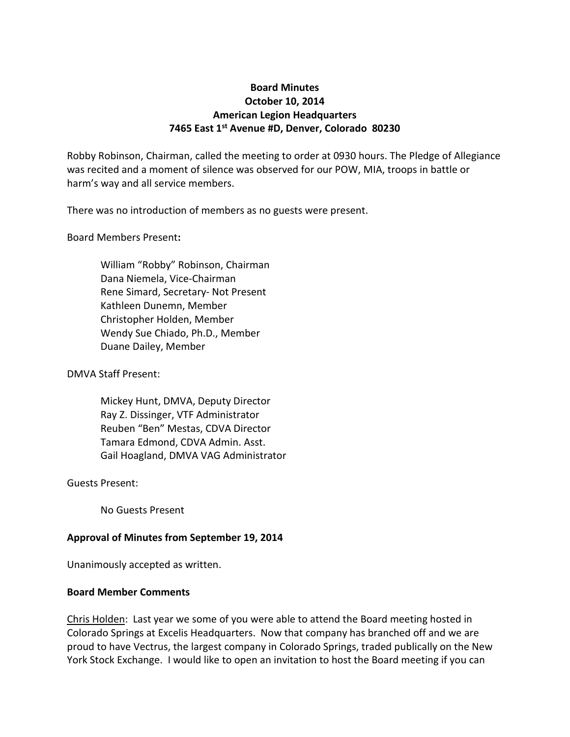# **Board Minutes October 10, 2014 American Legion Headquarters 7465 East 1st Avenue #D, Denver, Colorado 80230**

Robby Robinson, Chairman, called the meeting to order at 0930 hours. The Pledge of Allegiance was recited and a moment of silence was observed for our POW, MIA, troops in battle or harm's way and all service members.

There was no introduction of members as no guests were present.

Board Members Present**:**

William "Robby" Robinson, Chairman Dana Niemela, Vice-Chairman Rene Simard, Secretary- Not Present Kathleen Dunemn, Member Christopher Holden, Member Wendy Sue Chiado, Ph.D., Member Duane Dailey, Member

DMVA Staff Present:

Mickey Hunt, DMVA, Deputy Director Ray Z. Dissinger, VTF Administrator Reuben "Ben" Mestas, CDVA Director Tamara Edmond, CDVA Admin. Asst. Gail Hoagland, DMVA VAG Administrator

Guests Present:

No Guests Present

#### **Approval of Minutes from September 19, 2014**

Unanimously accepted as written.

#### **Board Member Comments**

Chris Holden: Last year we some of you were able to attend the Board meeting hosted in Colorado Springs at Excelis Headquarters. Now that company has branched off and we are proud to have Vectrus, the largest company in Colorado Springs, traded publically on the New York Stock Exchange. I would like to open an invitation to host the Board meeting if you can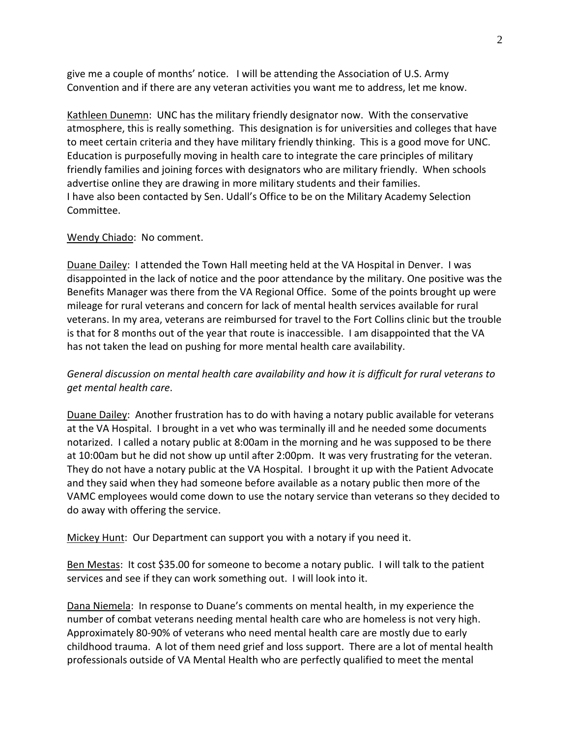give me a couple of months' notice. I will be attending the Association of U.S. Army Convention and if there are any veteran activities you want me to address, let me know.

Kathleen Dunemn: UNC has the military friendly designator now. With the conservative atmosphere, this is really something. This designation is for universities and colleges that have to meet certain criteria and they have military friendly thinking. This is a good move for UNC. Education is purposefully moving in health care to integrate the care principles of military friendly families and joining forces with designators who are military friendly. When schools advertise online they are drawing in more military students and their families. I have also been contacted by Sen. Udall's Office to be on the Military Academy Selection Committee.

#### Wendy Chiado: No comment.

Duane Dailey: I attended the Town Hall meeting held at the VA Hospital in Denver. I was disappointed in the lack of notice and the poor attendance by the military. One positive was the Benefits Manager was there from the VA Regional Office. Some of the points brought up were mileage for rural veterans and concern for lack of mental health services available for rural veterans. In my area, veterans are reimbursed for travel to the Fort Collins clinic but the trouble is that for 8 months out of the year that route is inaccessible. I am disappointed that the VA has not taken the lead on pushing for more mental health care availability.

*General discussion on mental health care availability and how it is difficult for rural veterans to get mental health care*.

Duane Dailey: Another frustration has to do with having a notary public available for veterans at the VA Hospital. I brought in a vet who was terminally ill and he needed some documents notarized. I called a notary public at 8:00am in the morning and he was supposed to be there at 10:00am but he did not show up until after 2:00pm. It was very frustrating for the veteran. They do not have a notary public at the VA Hospital. I brought it up with the Patient Advocate and they said when they had someone before available as a notary public then more of the VAMC employees would come down to use the notary service than veterans so they decided to do away with offering the service.

Mickey Hunt: Our Department can support you with a notary if you need it.

Ben Mestas: It cost \$35.00 for someone to become a notary public. I will talk to the patient services and see if they can work something out. I will look into it.

Dana Niemela: In response to Duane's comments on mental health, in my experience the number of combat veterans needing mental health care who are homeless is not very high. Approximately 80-90% of veterans who need mental health care are mostly due to early childhood trauma. A lot of them need grief and loss support. There are a lot of mental health professionals outside of VA Mental Health who are perfectly qualified to meet the mental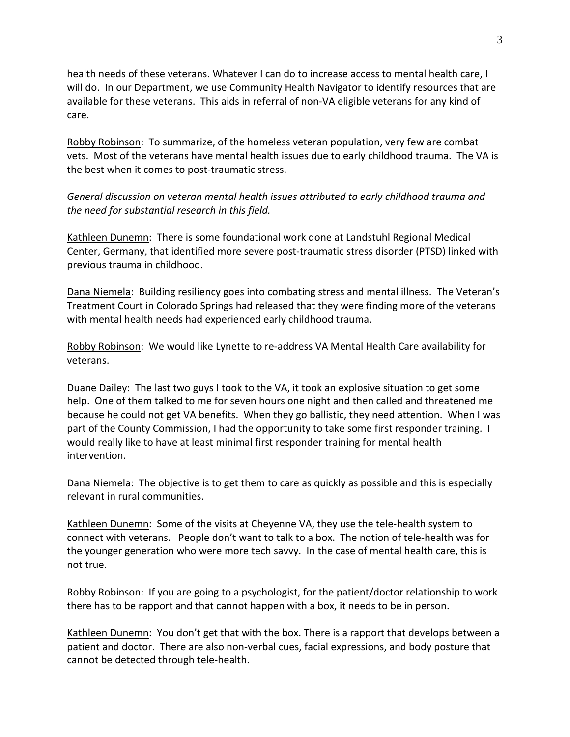health needs of these veterans. Whatever I can do to increase access to mental health care, I will do. In our Department, we use Community Health Navigator to identify resources that are available for these veterans. This aids in referral of non-VA eligible veterans for any kind of care.

Robby Robinson: To summarize, of the homeless veteran population, very few are combat vets. Most of the veterans have mental health issues due to early childhood trauma. The VA is the best when it comes to post-traumatic stress.

*General discussion on veteran mental health issues attributed to early childhood trauma and the need for substantial research in this field.*

Kathleen Dunemn: There is some foundational work done at Landstuhl Regional Medical Center, Germany, that identified more severe post-traumatic stress disorder (PTSD) linked with previous trauma in childhood.

Dana Niemela: Building resiliency goes into combating stress and mental illness. The Veteran's Treatment Court in Colorado Springs had released that they were finding more of the veterans with mental health needs had experienced early childhood trauma.

Robby Robinson: We would like Lynette to re-address VA Mental Health Care availability for veterans.

Duane Dailey: The last two guys I took to the VA, it took an explosive situation to get some help. One of them talked to me for seven hours one night and then called and threatened me because he could not get VA benefits. When they go ballistic, they need attention. When I was part of the County Commission, I had the opportunity to take some first responder training. I would really like to have at least minimal first responder training for mental health intervention.

Dana Niemela: The objective is to get them to care as quickly as possible and this is especially relevant in rural communities.

Kathleen Dunemn: Some of the visits at Cheyenne VA, they use the tele-health system to connect with veterans. People don't want to talk to a box. The notion of tele-health was for the younger generation who were more tech savvy. In the case of mental health care, this is not true.

Robby Robinson: If you are going to a psychologist, for the patient/doctor relationship to work there has to be rapport and that cannot happen with a box, it needs to be in person.

Kathleen Dunemn: You don't get that with the box. There is a rapport that develops between a patient and doctor. There are also non-verbal cues, facial expressions, and body posture that cannot be detected through tele-health.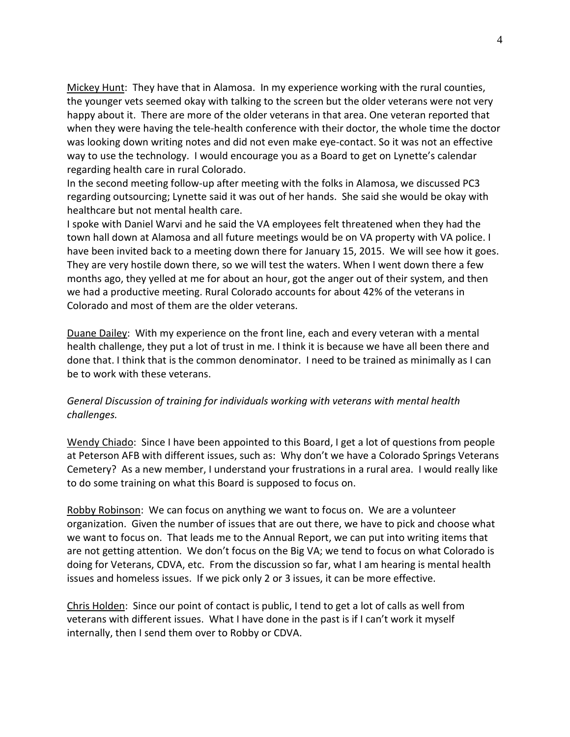Mickey Hunt: They have that in Alamosa. In my experience working with the rural counties, the younger vets seemed okay with talking to the screen but the older veterans were not very happy about it. There are more of the older veterans in that area. One veteran reported that when they were having the tele-health conference with their doctor, the whole time the doctor was looking down writing notes and did not even make eye-contact. So it was not an effective way to use the technology. I would encourage you as a Board to get on Lynette's calendar regarding health care in rural Colorado.

In the second meeting follow-up after meeting with the folks in Alamosa, we discussed PC3 regarding outsourcing; Lynette said it was out of her hands. She said she would be okay with healthcare but not mental health care.

I spoke with Daniel Warvi and he said the VA employees felt threatened when they had the town hall down at Alamosa and all future meetings would be on VA property with VA police. I have been invited back to a meeting down there for January 15, 2015. We will see how it goes. They are very hostile down there, so we will test the waters. When I went down there a few months ago, they yelled at me for about an hour, got the anger out of their system, and then we had a productive meeting. Rural Colorado accounts for about 42% of the veterans in Colorado and most of them are the older veterans.

Duane Dailey: With my experience on the front line, each and every veteran with a mental health challenge, they put a lot of trust in me. I think it is because we have all been there and done that. I think that is the common denominator. I need to be trained as minimally as I can be to work with these veterans.

# *General Discussion of training for individuals working with veterans with mental health challenges.*

Wendy Chiado: Since I have been appointed to this Board, I get a lot of questions from people at Peterson AFB with different issues, such as: Why don't we have a Colorado Springs Veterans Cemetery? As a new member, I understand your frustrations in a rural area. I would really like to do some training on what this Board is supposed to focus on.

Robby Robinson: We can focus on anything we want to focus on. We are a volunteer organization. Given the number of issues that are out there, we have to pick and choose what we want to focus on. That leads me to the Annual Report, we can put into writing items that are not getting attention. We don't focus on the Big VA; we tend to focus on what Colorado is doing for Veterans, CDVA, etc. From the discussion so far, what I am hearing is mental health issues and homeless issues. If we pick only 2 or 3 issues, it can be more effective.

Chris Holden: Since our point of contact is public, I tend to get a lot of calls as well from veterans with different issues. What I have done in the past is if I can't work it myself internally, then I send them over to Robby or CDVA.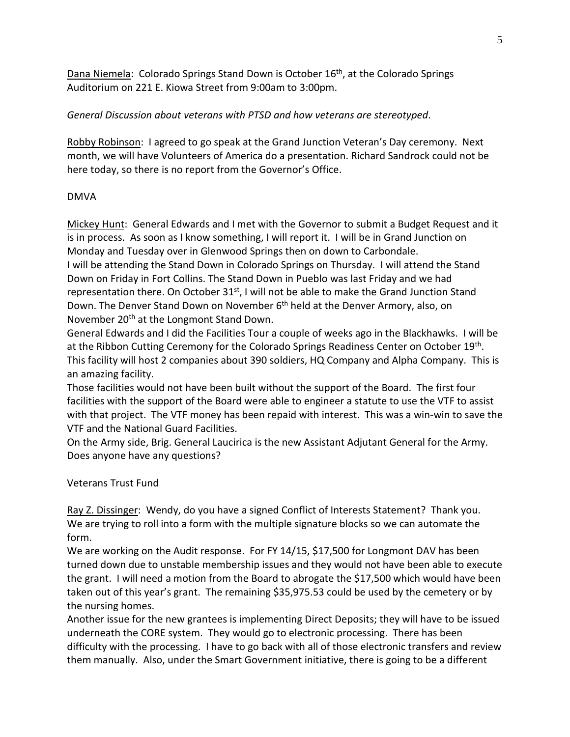Dana Niemela: Colorado Springs Stand Down is October 16th, at the Colorado Springs Auditorium on 221 E. Kiowa Street from 9:00am to 3:00pm.

## *General Discussion about veterans with PTSD and how veterans are stereotyped*.

Robby Robinson: I agreed to go speak at the Grand Junction Veteran's Day ceremony. Next month, we will have Volunteers of America do a presentation. Richard Sandrock could not be here today, so there is no report from the Governor's Office.

#### DMVA

Mickey Hunt: General Edwards and I met with the Governor to submit a Budget Request and it is in process. As soon as I know something, I will report it. I will be in Grand Junction on Monday and Tuesday over in Glenwood Springs then on down to Carbondale.

I will be attending the Stand Down in Colorado Springs on Thursday. I will attend the Stand Down on Friday in Fort Collins. The Stand Down in Pueblo was last Friday and we had representation there. On October 31<sup>st</sup>, I will not be able to make the Grand Junction Stand Down. The Denver Stand Down on November 6<sup>th</sup> held at the Denver Armory, also, on November 20<sup>th</sup> at the Longmont Stand Down.

General Edwards and I did the Facilities Tour a couple of weeks ago in the Blackhawks. I will be at the Ribbon Cutting Ceremony for the Colorado Springs Readiness Center on October 19<sup>th</sup>. This facility will host 2 companies about 390 soldiers, HQ Company and Alpha Company. This is an amazing facility.

Those facilities would not have been built without the support of the Board. The first four facilities with the support of the Board were able to engineer a statute to use the VTF to assist with that project. The VTF money has been repaid with interest. This was a win-win to save the VTF and the National Guard Facilities.

On the Army side, Brig. General Laucirica is the new Assistant Adjutant General for the Army. Does anyone have any questions?

# Veterans Trust Fund

Ray Z. Dissinger: Wendy, do you have a signed Conflict of Interests Statement? Thank you. We are trying to roll into a form with the multiple signature blocks so we can automate the form.

We are working on the Audit response. For FY 14/15, \$17,500 for Longmont DAV has been turned down due to unstable membership issues and they would not have been able to execute the grant. I will need a motion from the Board to abrogate the \$17,500 which would have been taken out of this year's grant. The remaining \$35,975.53 could be used by the cemetery or by the nursing homes.

Another issue for the new grantees is implementing Direct Deposits; they will have to be issued underneath the CORE system. They would go to electronic processing. There has been difficulty with the processing. I have to go back with all of those electronic transfers and review them manually. Also, under the Smart Government initiative, there is going to be a different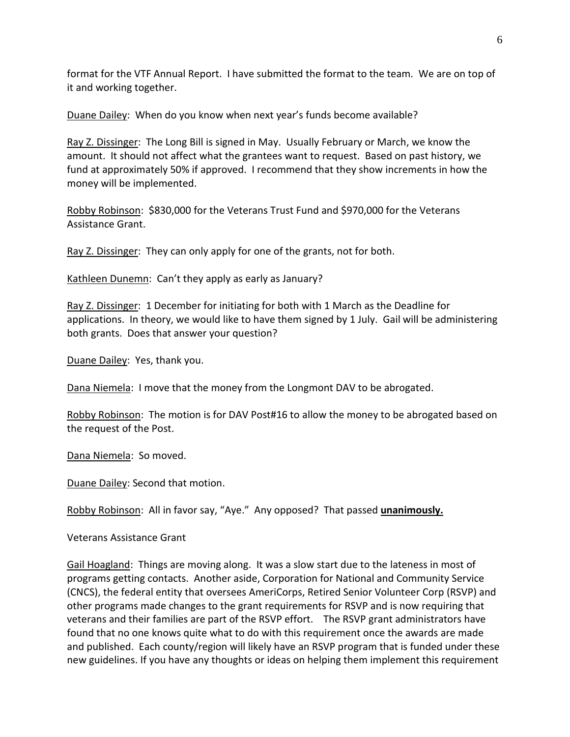format for the VTF Annual Report. I have submitted the format to the team. We are on top of it and working together.

Duane Dailey: When do you know when next year's funds become available?

Ray Z. Dissinger: The Long Bill is signed in May. Usually February or March, we know the amount. It should not affect what the grantees want to request. Based on past history, we fund at approximately 50% if approved. I recommend that they show increments in how the money will be implemented.

Robby Robinson: \$830,000 for the Veterans Trust Fund and \$970,000 for the Veterans Assistance Grant.

Ray Z. Dissinger: They can only apply for one of the grants, not for both.

Kathleen Dunemn: Can't they apply as early as January?

Ray Z. Dissinger: 1 December for initiating for both with 1 March as the Deadline for applications. In theory, we would like to have them signed by 1 July. Gail will be administering both grants. Does that answer your question?

Duane Dailey: Yes, thank you.

Dana Niemela: I move that the money from the Longmont DAV to be abrogated.

Robby Robinson: The motion is for DAV Post#16 to allow the money to be abrogated based on the request of the Post.

Dana Niemela: So moved.

Duane Dailey: Second that motion.

Robby Robinson: All in favor say, "Aye." Any opposed? That passed **unanimously.**

Veterans Assistance Grant

Gail Hoagland: Things are moving along. It was a slow start due to the lateness in most of programs getting contacts. Another aside, Corporation for National and Community Service (CNCS), the federal entity that oversees AmeriCorps, Retired Senior Volunteer Corp (RSVP) and other programs made changes to the grant requirements for RSVP and is now requiring that veterans and their families are part of the RSVP effort. The RSVP grant administrators have found that no one knows quite what to do with this requirement once the awards are made and published. Each county/region will likely have an RSVP program that is funded under these new guidelines. If you have any thoughts or ideas on helping them implement this requirement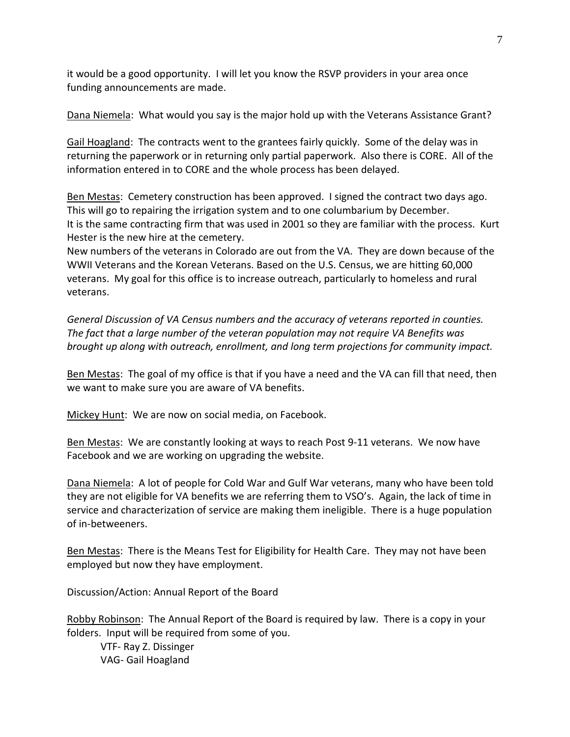it would be a good opportunity. I will let you know the RSVP providers in your area once funding announcements are made.

Dana Niemela: What would you say is the major hold up with the Veterans Assistance Grant?

Gail Hoagland: The contracts went to the grantees fairly quickly. Some of the delay was in returning the paperwork or in returning only partial paperwork. Also there is CORE. All of the information entered in to CORE and the whole process has been delayed.

Ben Mestas: Cemetery construction has been approved. I signed the contract two days ago. This will go to repairing the irrigation system and to one columbarium by December. It is the same contracting firm that was used in 2001 so they are familiar with the process. Kurt Hester is the new hire at the cemetery.

New numbers of the veterans in Colorado are out from the VA. They are down because of the WWII Veterans and the Korean Veterans. Based on the U.S. Census, we are hitting 60,000 veterans. My goal for this office is to increase outreach, particularly to homeless and rural veterans.

*General Discussion of VA Census numbers and the accuracy of veterans reported in counties. The fact that a large number of the veteran population may not require VA Benefits was brought up along with outreach, enrollment, and long term projections for community impact.*

Ben Mestas: The goal of my office is that if you have a need and the VA can fill that need, then we want to make sure you are aware of VA benefits.

Mickey Hunt: We are now on social media, on Facebook.

Ben Mestas: We are constantly looking at ways to reach Post 9-11 veterans. We now have Facebook and we are working on upgrading the website.

Dana Niemela: A lot of people for Cold War and Gulf War veterans, many who have been told they are not eligible for VA benefits we are referring them to VSO's. Again, the lack of time in service and characterization of service are making them ineligible. There is a huge population of in-betweeners.

Ben Mestas: There is the Means Test for Eligibility for Health Care. They may not have been employed but now they have employment.

Discussion/Action: Annual Report of the Board

Robby Robinson: The Annual Report of the Board is required by law. There is a copy in your folders. Input will be required from some of you.

VTF- Ray Z. Dissinger VAG- Gail Hoagland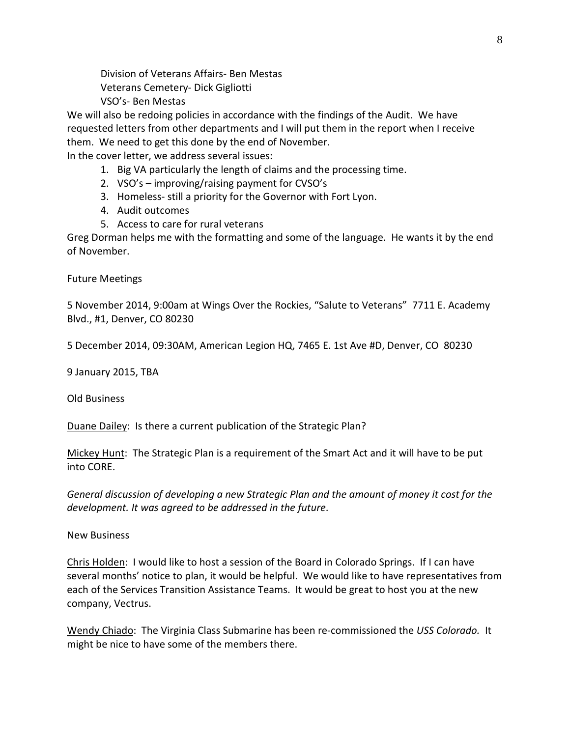Division of Veterans Affairs- Ben Mestas Veterans Cemetery- Dick Gigliotti VSO's- Ben Mestas

We will also be redoing policies in accordance with the findings of the Audit. We have requested letters from other departments and I will put them in the report when I receive them. We need to get this done by the end of November.

In the cover letter, we address several issues:

- 1. Big VA particularly the length of claims and the processing time.
- 2. VSO's improving/raising payment for CVSO's
- 3. Homeless- still a priority for the Governor with Fort Lyon.
- 4. Audit outcomes
- 5. Access to care for rural veterans

Greg Dorman helps me with the formatting and some of the language. He wants it by the end of November.

Future Meetings

5 November 2014, 9:00am at Wings Over the Rockies, "Salute to Veterans" 7711 E. Academy Blvd., #1, Denver, CO 80230

5 December 2014, 09:30AM, American Legion HQ, 7465 E. 1st Ave #D, Denver, CO 80230

9 January 2015, TBA

Old Business

Duane Dailey: Is there a current publication of the Strategic Plan?

Mickey Hunt: The Strategic Plan is a requirement of the Smart Act and it will have to be put into CORE.

*General discussion of developing a new Strategic Plan and the amount of money it cost for the development. It was agreed to be addressed in the future*.

New Business

Chris Holden: I would like to host a session of the Board in Colorado Springs. If I can have several months' notice to plan, it would be helpful. We would like to have representatives from each of the Services Transition Assistance Teams. It would be great to host you at the new company, Vectrus.

Wendy Chiado: The Virginia Class Submarine has been re-commissioned the *USS Colorado.* It might be nice to have some of the members there.